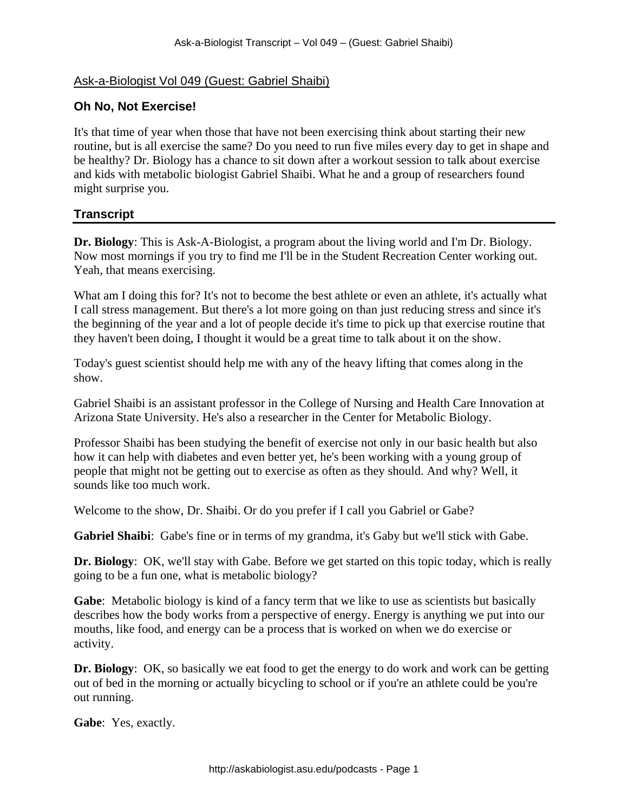## Ask-a-Biologist Vol 049 (Guest: Gabriel Shaibi)

## **Oh No, Not Exercise!**

It's that time of year when those that have not been exercising think about starting their new routine, but is all exercise the same? Do you need to run five miles every day to get in shape and be healthy? Dr. Biology has a chance to sit down after a workout session to talk about exercise and kids with metabolic biologist Gabriel Shaibi. What he and a group of researchers found might surprise you.

## **Transcript**

**Dr. Biology**: This is Ask-A-Biologist, a program about the living world and I'm Dr. Biology. Now most mornings if you try to find me I'll be in the Student Recreation Center working out. Yeah, that means exercising.

What am I doing this for? It's not to become the best athlete or even an athlete, it's actually what I call stress management. But there's a lot more going on than just reducing stress and since it's the beginning of the year and a lot of people decide it's time to pick up that exercise routine that they haven't been doing, I thought it would be a great time to talk about it on the show.

Today's guest scientist should help me with any of the heavy lifting that comes along in the show.

Gabriel Shaibi is an assistant professor in the College of Nursing and Health Care Innovation at Arizona State University. He's also a researcher in the Center for Metabolic Biology.

Professor Shaibi has been studying the benefit of exercise not only in our basic health but also how it can help with diabetes and even better yet, he's been working with a young group of people that might not be getting out to exercise as often as they should. And why? Well, it sounds like too much work.

Welcome to the show, Dr. Shaibi. Or do you prefer if I call you Gabriel or Gabe?

**Gabriel Shaibi**: Gabe's fine or in terms of my grandma, it's Gaby but we'll stick with Gabe.

**Dr. Biology**: OK, we'll stay with Gabe. Before we get started on this topic today, which is really going to be a fun one, what is metabolic biology?

**Gabe**: Metabolic biology is kind of a fancy term that we like to use as scientists but basically describes how the body works from a perspective of energy. Energy is anything we put into our mouths, like food, and energy can be a process that is worked on when we do exercise or activity.

**Dr. Biology**: OK, so basically we eat food to get the energy to do work and work can be getting out of bed in the morning or actually bicycling to school or if you're an athlete could be you're out running.

**Gabe**: Yes, exactly.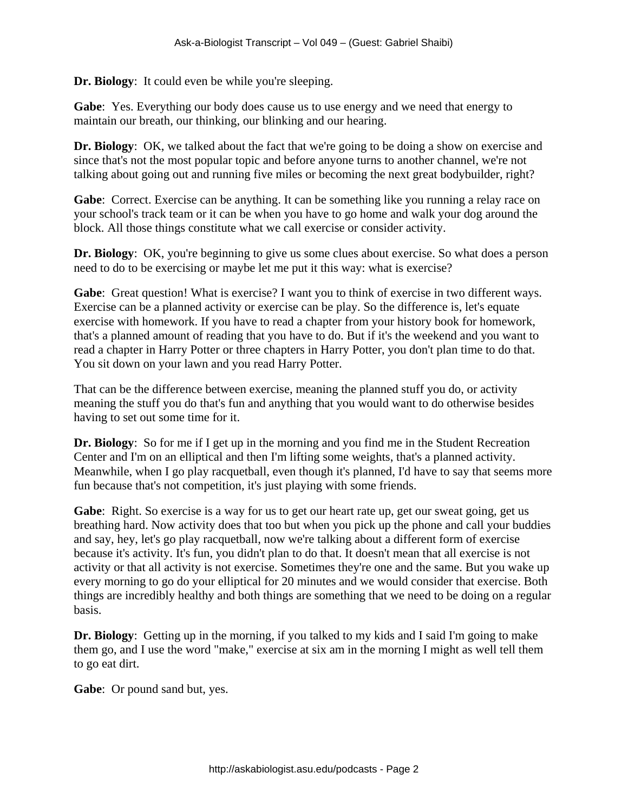**Dr. Biology**: It could even be while you're sleeping.

**Gabe**: Yes. Everything our body does cause us to use energy and we need that energy to maintain our breath, our thinking, our blinking and our hearing.

**Dr. Biology**: OK, we talked about the fact that we're going to be doing a show on exercise and since that's not the most popular topic and before anyone turns to another channel, we're not talking about going out and running five miles or becoming the next great bodybuilder, right?

**Gabe**: Correct. Exercise can be anything. It can be something like you running a relay race on your school's track team or it can be when you have to go home and walk your dog around the block. All those things constitute what we call exercise or consider activity.

**Dr. Biology**: OK, you're beginning to give us some clues about exercise. So what does a person need to do to be exercising or maybe let me put it this way: what is exercise?

**Gabe**: Great question! What is exercise? I want you to think of exercise in two different ways. Exercise can be a planned activity or exercise can be play. So the difference is, let's equate exercise with homework. If you have to read a chapter from your history book for homework, that's a planned amount of reading that you have to do. But if it's the weekend and you want to read a chapter in Harry Potter or three chapters in Harry Potter, you don't plan time to do that. You sit down on your lawn and you read Harry Potter.

That can be the difference between exercise, meaning the planned stuff you do, or activity meaning the stuff you do that's fun and anything that you would want to do otherwise besides having to set out some time for it.

**Dr. Biology**: So for me if I get up in the morning and you find me in the Student Recreation Center and I'm on an elliptical and then I'm lifting some weights, that's a planned activity. Meanwhile, when I go play racquetball, even though it's planned, I'd have to say that seems more fun because that's not competition, it's just playing with some friends.

**Gabe**: Right. So exercise is a way for us to get our heart rate up, get our sweat going, get us breathing hard. Now activity does that too but when you pick up the phone and call your buddies and say, hey, let's go play racquetball, now we're talking about a different form of exercise because it's activity. It's fun, you didn't plan to do that. It doesn't mean that all exercise is not activity or that all activity is not exercise. Sometimes they're one and the same. But you wake up every morning to go do your elliptical for 20 minutes and we would consider that exercise. Both things are incredibly healthy and both things are something that we need to be doing on a regular basis.

**Dr. Biology**: Getting up in the morning, if you talked to my kids and I said I'm going to make them go, and I use the word "make," exercise at six am in the morning I might as well tell them to go eat dirt.

**Gabe**: Or pound sand but, yes.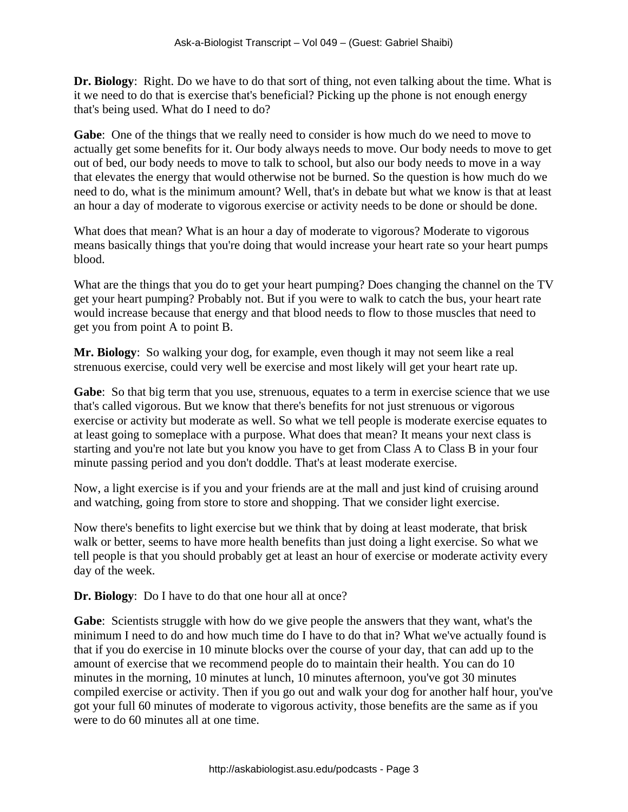**Dr. Biology**: Right. Do we have to do that sort of thing, not even talking about the time. What is it we need to do that is exercise that's beneficial? Picking up the phone is not enough energy that's being used. What do I need to do?

**Gabe**: One of the things that we really need to consider is how much do we need to move to actually get some benefits for it. Our body always needs to move. Our body needs to move to get out of bed, our body needs to move to talk to school, but also our body needs to move in a way that elevates the energy that would otherwise not be burned. So the question is how much do we need to do, what is the minimum amount? Well, that's in debate but what we know is that at least an hour a day of moderate to vigorous exercise or activity needs to be done or should be done.

What does that mean? What is an hour a day of moderate to vigorous? Moderate to vigorous means basically things that you're doing that would increase your heart rate so your heart pumps blood.

What are the things that you do to get your heart pumping? Does changing the channel on the TV get your heart pumping? Probably not. But if you were to walk to catch the bus, your heart rate would increase because that energy and that blood needs to flow to those muscles that need to get you from point A to point B.

**Mr. Biology**: So walking your dog, for example, even though it may not seem like a real strenuous exercise, could very well be exercise and most likely will get your heart rate up.

Gabe: So that big term that you use, strenuous, equates to a term in exercise science that we use that's called vigorous. But we know that there's benefits for not just strenuous or vigorous exercise or activity but moderate as well. So what we tell people is moderate exercise equates to at least going to someplace with a purpose. What does that mean? It means your next class is starting and you're not late but you know you have to get from Class A to Class B in your four minute passing period and you don't doddle. That's at least moderate exercise.

Now, a light exercise is if you and your friends are at the mall and just kind of cruising around and watching, going from store to store and shopping. That we consider light exercise.

Now there's benefits to light exercise but we think that by doing at least moderate, that brisk walk or better, seems to have more health benefits than just doing a light exercise. So what we tell people is that you should probably get at least an hour of exercise or moderate activity every day of the week.

**Dr. Biology**: Do I have to do that one hour all at once?

**Gabe**: Scientists struggle with how do we give people the answers that they want, what's the minimum I need to do and how much time do I have to do that in? What we've actually found is that if you do exercise in 10 minute blocks over the course of your day, that can add up to the amount of exercise that we recommend people do to maintain their health. You can do 10 minutes in the morning, 10 minutes at lunch, 10 minutes afternoon, you've got 30 minutes compiled exercise or activity. Then if you go out and walk your dog for another half hour, you've got your full 60 minutes of moderate to vigorous activity, those benefits are the same as if you were to do 60 minutes all at one time.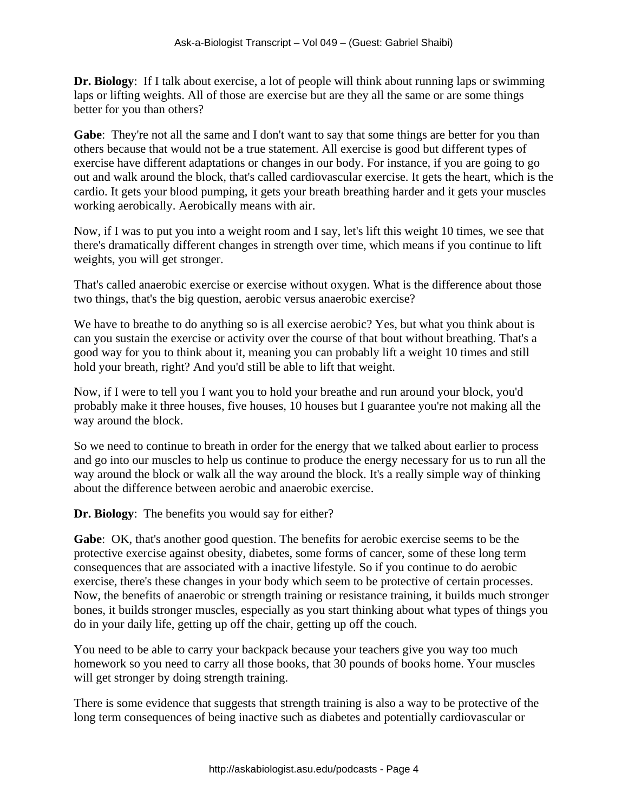**Dr. Biology**: If I talk about exercise, a lot of people will think about running laps or swimming laps or lifting weights. All of those are exercise but are they all the same or are some things better for you than others?

Gabe: They're not all the same and I don't want to say that some things are better for you than others because that would not be a true statement. All exercise is good but different types of exercise have different adaptations or changes in our body. For instance, if you are going to go out and walk around the block, that's called cardiovascular exercise. It gets the heart, which is the cardio. It gets your blood pumping, it gets your breath breathing harder and it gets your muscles working aerobically. Aerobically means with air.

Now, if I was to put you into a weight room and I say, let's lift this weight 10 times, we see that there's dramatically different changes in strength over time, which means if you continue to lift weights, you will get stronger.

That's called anaerobic exercise or exercise without oxygen. What is the difference about those two things, that's the big question, aerobic versus anaerobic exercise?

We have to breathe to do anything so is all exercise aerobic? Yes, but what you think about is can you sustain the exercise or activity over the course of that bout without breathing. That's a good way for you to think about it, meaning you can probably lift a weight 10 times and still hold your breath, right? And you'd still be able to lift that weight.

Now, if I were to tell you I want you to hold your breathe and run around your block, you'd probably make it three houses, five houses, 10 houses but I guarantee you're not making all the way around the block.

So we need to continue to breath in order for the energy that we talked about earlier to process and go into our muscles to help us continue to produce the energy necessary for us to run all the way around the block or walk all the way around the block. It's a really simple way of thinking about the difference between aerobic and anaerobic exercise.

**Dr. Biology**: The benefits you would say for either?

**Gabe**: OK, that's another good question. The benefits for aerobic exercise seems to be the protective exercise against obesity, diabetes, some forms of cancer, some of these long term consequences that are associated with a inactive lifestyle. So if you continue to do aerobic exercise, there's these changes in your body which seem to be protective of certain processes. Now, the benefits of anaerobic or strength training or resistance training, it builds much stronger bones, it builds stronger muscles, especially as you start thinking about what types of things you do in your daily life, getting up off the chair, getting up off the couch.

You need to be able to carry your backpack because your teachers give you way too much homework so you need to carry all those books, that 30 pounds of books home. Your muscles will get stronger by doing strength training.

There is some evidence that suggests that strength training is also a way to be protective of the long term consequences of being inactive such as diabetes and potentially cardiovascular or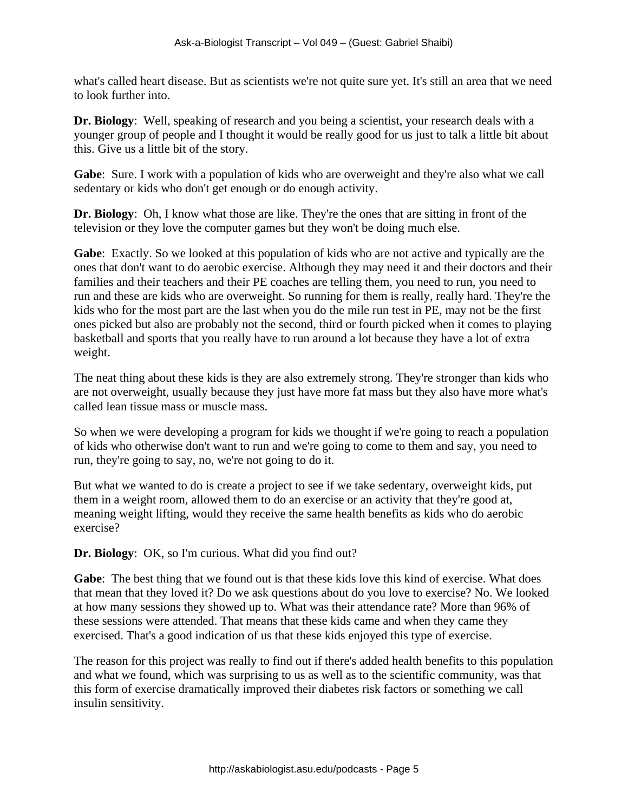what's called heart disease. But as scientists we're not quite sure yet. It's still an area that we need to look further into.

**Dr. Biology**: Well, speaking of research and you being a scientist, your research deals with a younger group of people and I thought it would be really good for us just to talk a little bit about this. Give us a little bit of the story.

**Gabe**: Sure. I work with a population of kids who are overweight and they're also what we call sedentary or kids who don't get enough or do enough activity.

**Dr. Biology**: Oh, I know what those are like. They're the ones that are sitting in front of the television or they love the computer games but they won't be doing much else.

**Gabe**: Exactly. So we looked at this population of kids who are not active and typically are the ones that don't want to do aerobic exercise. Although they may need it and their doctors and their families and their teachers and their PE coaches are telling them, you need to run, you need to run and these are kids who are overweight. So running for them is really, really hard. They're the kids who for the most part are the last when you do the mile run test in PE, may not be the first ones picked but also are probably not the second, third or fourth picked when it comes to playing basketball and sports that you really have to run around a lot because they have a lot of extra weight.

The neat thing about these kids is they are also extremely strong. They're stronger than kids who are not overweight, usually because they just have more fat mass but they also have more what's called lean tissue mass or muscle mass.

So when we were developing a program for kids we thought if we're going to reach a population of kids who otherwise don't want to run and we're going to come to them and say, you need to run, they're going to say, no, we're not going to do it.

But what we wanted to do is create a project to see if we take sedentary, overweight kids, put them in a weight room, allowed them to do an exercise or an activity that they're good at, meaning weight lifting, would they receive the same health benefits as kids who do aerobic exercise?

**Dr. Biology**: OK, so I'm curious. What did you find out?

**Gabe**: The best thing that we found out is that these kids love this kind of exercise. What does that mean that they loved it? Do we ask questions about do you love to exercise? No. We looked at how many sessions they showed up to. What was their attendance rate? More than 96% of these sessions were attended. That means that these kids came and when they came they exercised. That's a good indication of us that these kids enjoyed this type of exercise.

The reason for this project was really to find out if there's added health benefits to this population and what we found, which was surprising to us as well as to the scientific community, was that this form of exercise dramatically improved their diabetes risk factors or something we call insulin sensitivity.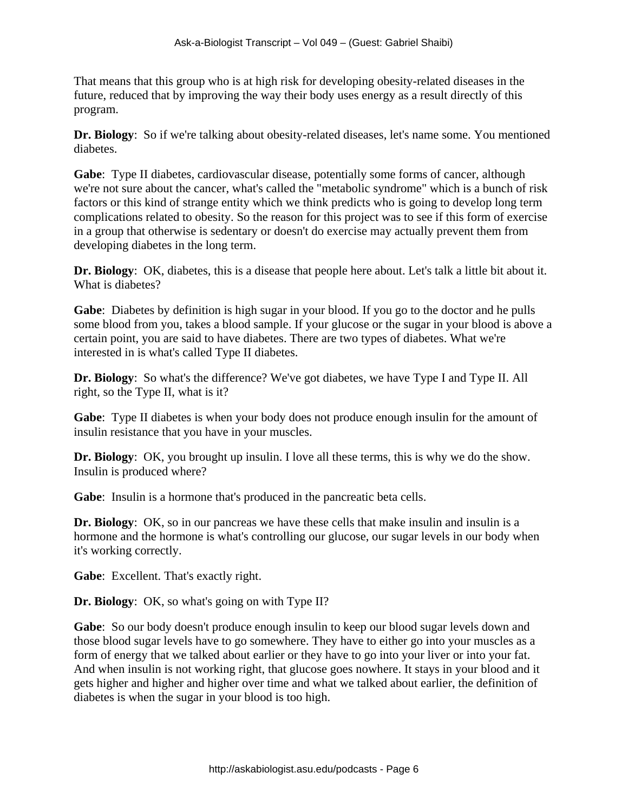That means that this group who is at high risk for developing obesity-related diseases in the future, reduced that by improving the way their body uses energy as a result directly of this program.

**Dr. Biology**: So if we're talking about obesity-related diseases, let's name some. You mentioned diabetes.

**Gabe**: Type II diabetes, cardiovascular disease, potentially some forms of cancer, although we're not sure about the cancer, what's called the "metabolic syndrome" which is a bunch of risk factors or this kind of strange entity which we think predicts who is going to develop long term complications related to obesity. So the reason for this project was to see if this form of exercise in a group that otherwise is sedentary or doesn't do exercise may actually prevent them from developing diabetes in the long term.

**Dr. Biology**: OK, diabetes, this is a disease that people here about. Let's talk a little bit about it. What is diabetes?

**Gabe**: Diabetes by definition is high sugar in your blood. If you go to the doctor and he pulls some blood from you, takes a blood sample. If your glucose or the sugar in your blood is above a certain point, you are said to have diabetes. There are two types of diabetes. What we're interested in is what's called Type II diabetes.

**Dr. Biology**: So what's the difference? We've got diabetes, we have Type I and Type II. All right, so the Type II, what is it?

**Gabe**: Type II diabetes is when your body does not produce enough insulin for the amount of insulin resistance that you have in your muscles.

**Dr. Biology**: OK, you brought up insulin. I love all these terms, this is why we do the show. Insulin is produced where?

Gabe: Insulin is a hormone that's produced in the pancreatic beta cells.

**Dr. Biology**: OK, so in our pancreas we have these cells that make insulin and insulin is a hormone and the hormone is what's controlling our glucose, our sugar levels in our body when it's working correctly.

**Gabe**: Excellent. That's exactly right.

**Dr. Biology**: OK, so what's going on with Type II?

**Gabe**: So our body doesn't produce enough insulin to keep our blood sugar levels down and those blood sugar levels have to go somewhere. They have to either go into your muscles as a form of energy that we talked about earlier or they have to go into your liver or into your fat. And when insulin is not working right, that glucose goes nowhere. It stays in your blood and it gets higher and higher and higher over time and what we talked about earlier, the definition of diabetes is when the sugar in your blood is too high.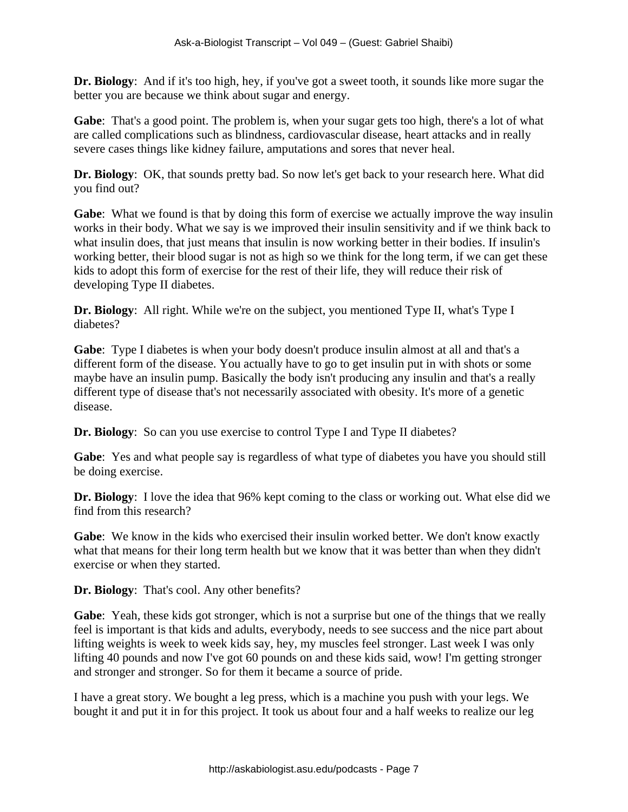**Dr. Biology**: And if it's too high, hey, if you've got a sweet tooth, it sounds like more sugar the better you are because we think about sugar and energy.

**Gabe**: That's a good point. The problem is, when your sugar gets too high, there's a lot of what are called complications such as blindness, cardiovascular disease, heart attacks and in really severe cases things like kidney failure, amputations and sores that never heal.

**Dr. Biology**: OK, that sounds pretty bad. So now let's get back to your research here. What did you find out?

**Gabe**: What we found is that by doing this form of exercise we actually improve the way insulin works in their body. What we say is we improved their insulin sensitivity and if we think back to what insulin does, that just means that insulin is now working better in their bodies. If insulin's working better, their blood sugar is not as high so we think for the long term, if we can get these kids to adopt this form of exercise for the rest of their life, they will reduce their risk of developing Type II diabetes.

**Dr. Biology**: All right. While we're on the subject, you mentioned Type II, what's Type I diabetes?

**Gabe**: Type I diabetes is when your body doesn't produce insulin almost at all and that's a different form of the disease. You actually have to go to get insulin put in with shots or some maybe have an insulin pump. Basically the body isn't producing any insulin and that's a really different type of disease that's not necessarily associated with obesity. It's more of a genetic disease.

**Dr. Biology**: So can you use exercise to control Type I and Type II diabetes?

**Gabe**: Yes and what people say is regardless of what type of diabetes you have you should still be doing exercise.

**Dr. Biology**: I love the idea that 96% kept coming to the class or working out. What else did we find from this research?

**Gabe**: We know in the kids who exercised their insulin worked better. We don't know exactly what that means for their long term health but we know that it was better than when they didn't exercise or when they started.

**Dr. Biology**: That's cool. Any other benefits?

**Gabe**: Yeah, these kids got stronger, which is not a surprise but one of the things that we really feel is important is that kids and adults, everybody, needs to see success and the nice part about lifting weights is week to week kids say, hey, my muscles feel stronger. Last week I was only lifting 40 pounds and now I've got 60 pounds on and these kids said, wow! I'm getting stronger and stronger and stronger. So for them it became a source of pride.

I have a great story. We bought a leg press, which is a machine you push with your legs. We bought it and put it in for this project. It took us about four and a half weeks to realize our leg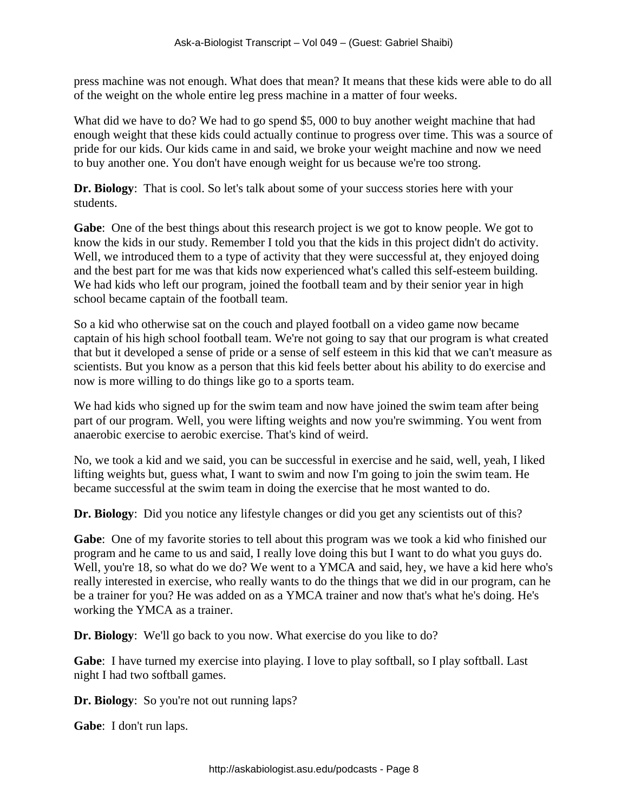press machine was not enough. What does that mean? It means that these kids were able to do all of the weight on the whole entire leg press machine in a matter of four weeks.

What did we have to do? We had to go spend \$5,000 to buy another weight machine that had enough weight that these kids could actually continue to progress over time. This was a source of pride for our kids. Our kids came in and said, we broke your weight machine and now we need to buy another one. You don't have enough weight for us because we're too strong.

**Dr. Biology**: That is cool. So let's talk about some of your success stories here with your students.

**Gabe**: One of the best things about this research project is we got to know people. We got to know the kids in our study. Remember I told you that the kids in this project didn't do activity. Well, we introduced them to a type of activity that they were successful at, they enjoyed doing and the best part for me was that kids now experienced what's called this self-esteem building. We had kids who left our program, joined the football team and by their senior year in high school became captain of the football team.

So a kid who otherwise sat on the couch and played football on a video game now became captain of his high school football team. We're not going to say that our program is what created that but it developed a sense of pride or a sense of self esteem in this kid that we can't measure as scientists. But you know as a person that this kid feels better about his ability to do exercise and now is more willing to do things like go to a sports team.

We had kids who signed up for the swim team and now have joined the swim team after being part of our program. Well, you were lifting weights and now you're swimming. You went from anaerobic exercise to aerobic exercise. That's kind of weird.

No, we took a kid and we said, you can be successful in exercise and he said, well, yeah, I liked lifting weights but, guess what, I want to swim and now I'm going to join the swim team. He became successful at the swim team in doing the exercise that he most wanted to do.

**Dr. Biology**: Did you notice any lifestyle changes or did you get any scientists out of this?

**Gabe**: One of my favorite stories to tell about this program was we took a kid who finished our program and he came to us and said, I really love doing this but I want to do what you guys do. Well, you're 18, so what do we do? We went to a YMCA and said, hey, we have a kid here who's really interested in exercise, who really wants to do the things that we did in our program, can he be a trainer for you? He was added on as a YMCA trainer and now that's what he's doing. He's working the YMCA as a trainer.

**Dr. Biology**: We'll go back to you now. What exercise do you like to do?

**Gabe**: I have turned my exercise into playing. I love to play softball, so I play softball. Last night I had two softball games.

**Dr. Biology**: So you're not out running laps?

**Gabe**: I don't run laps.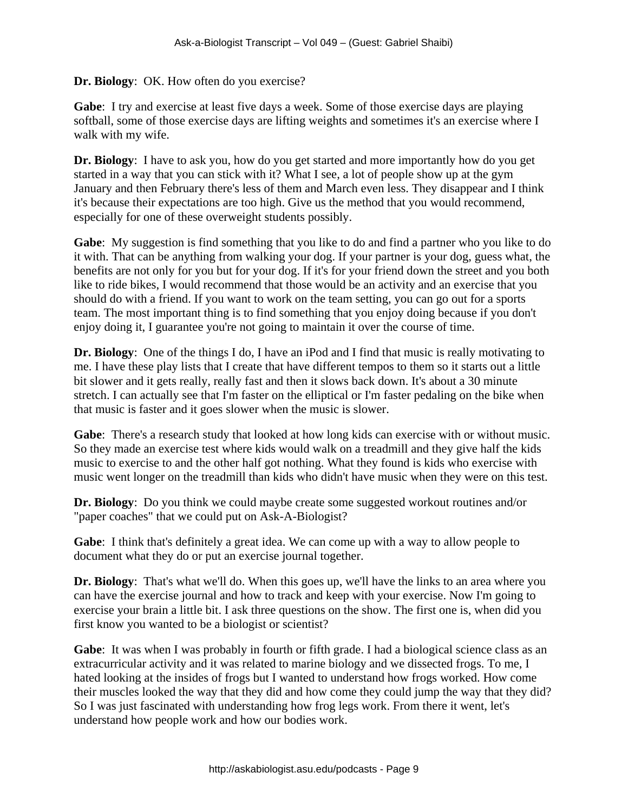## **Dr. Biology**: OK. How often do you exercise?

**Gabe**: I try and exercise at least five days a week. Some of those exercise days are playing softball, some of those exercise days are lifting weights and sometimes it's an exercise where I walk with my wife.

**Dr. Biology**: I have to ask you, how do you get started and more importantly how do you get started in a way that you can stick with it? What I see, a lot of people show up at the gym January and then February there's less of them and March even less. They disappear and I think it's because their expectations are too high. Give us the method that you would recommend, especially for one of these overweight students possibly.

**Gabe**: My suggestion is find something that you like to do and find a partner who you like to do it with. That can be anything from walking your dog. If your partner is your dog, guess what, the benefits are not only for you but for your dog. If it's for your friend down the street and you both like to ride bikes, I would recommend that those would be an activity and an exercise that you should do with a friend. If you want to work on the team setting, you can go out for a sports team. The most important thing is to find something that you enjoy doing because if you don't enjoy doing it, I guarantee you're not going to maintain it over the course of time.

**Dr. Biology**: One of the things I do, I have an iPod and I find that music is really motivating to me. I have these play lists that I create that have different tempos to them so it starts out a little bit slower and it gets really, really fast and then it slows back down. It's about a 30 minute stretch. I can actually see that I'm faster on the elliptical or I'm faster pedaling on the bike when that music is faster and it goes slower when the music is slower.

**Gabe**: There's a research study that looked at how long kids can exercise with or without music. So they made an exercise test where kids would walk on a treadmill and they give half the kids music to exercise to and the other half got nothing. What they found is kids who exercise with music went longer on the treadmill than kids who didn't have music when they were on this test.

**Dr. Biology**: Do you think we could maybe create some suggested workout routines and/or "paper coaches" that we could put on Ask-A-Biologist?

**Gabe**: I think that's definitely a great idea. We can come up with a way to allow people to document what they do or put an exercise journal together.

**Dr. Biology**: That's what we'll do. When this goes up, we'll have the links to an area where you can have the exercise journal and how to track and keep with your exercise. Now I'm going to exercise your brain a little bit. I ask three questions on the show. The first one is, when did you first know you wanted to be a biologist or scientist?

**Gabe**: It was when I was probably in fourth or fifth grade. I had a biological science class as an extracurricular activity and it was related to marine biology and we dissected frogs. To me, I hated looking at the insides of frogs but I wanted to understand how frogs worked. How come their muscles looked the way that they did and how come they could jump the way that they did? So I was just fascinated with understanding how frog legs work. From there it went, let's understand how people work and how our bodies work.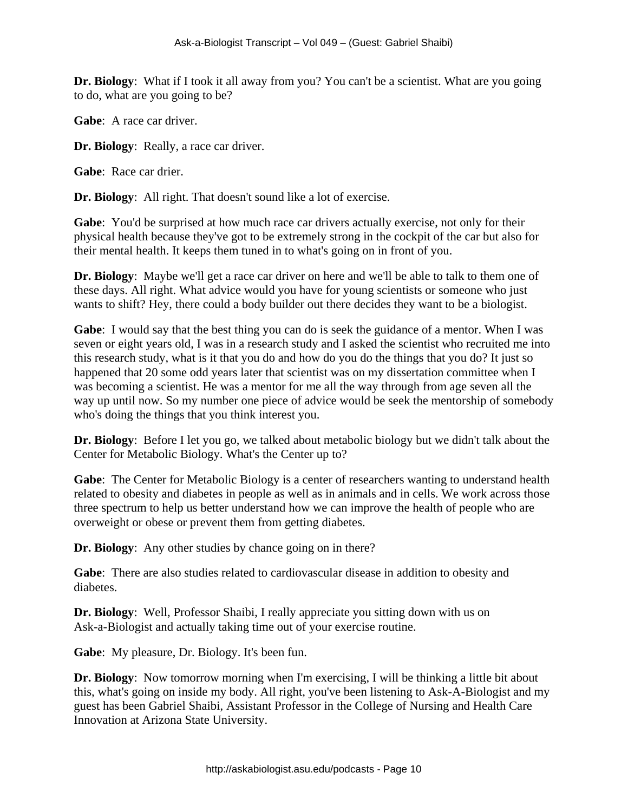**Dr. Biology**: What if I took it all away from you? You can't be a scientist. What are you going to do, what are you going to be?

**Gabe**: A race car driver.

**Dr. Biology**: Really, a race car driver.

**Gabe**: Race car drier.

**Dr. Biology**: All right. That doesn't sound like a lot of exercise.

**Gabe**: You'd be surprised at how much race car drivers actually exercise, not only for their physical health because they've got to be extremely strong in the cockpit of the car but also for their mental health. It keeps them tuned in to what's going on in front of you.

**Dr. Biology**: Maybe we'll get a race car driver on here and we'll be able to talk to them one of these days. All right. What advice would you have for young scientists or someone who just wants to shift? Hey, there could a body builder out there decides they want to be a biologist.

**Gabe**: I would say that the best thing you can do is seek the guidance of a mentor. When I was seven or eight years old, I was in a research study and I asked the scientist who recruited me into this research study, what is it that you do and how do you do the things that you do? It just so happened that 20 some odd years later that scientist was on my dissertation committee when I was becoming a scientist. He was a mentor for me all the way through from age seven all the way up until now. So my number one piece of advice would be seek the mentorship of somebody who's doing the things that you think interest you.

**Dr. Biology**: Before I let you go, we talked about metabolic biology but we didn't talk about the Center for Metabolic Biology. What's the Center up to?

**Gabe**: The Center for Metabolic Biology is a center of researchers wanting to understand health related to obesity and diabetes in people as well as in animals and in cells. We work across those three spectrum to help us better understand how we can improve the health of people who are overweight or obese or prevent them from getting diabetes.

**Dr. Biology**: Any other studies by chance going on in there?

**Gabe**: There are also studies related to cardiovascular disease in addition to obesity and diabetes.

**Dr. Biology**: Well, Professor Shaibi, I really appreciate you sitting down with us on Ask-a-Biologist and actually taking time out of your exercise routine.

**Gabe**: My pleasure, Dr. Biology. It's been fun.

**Dr. Biology**: Now tomorrow morning when I'm exercising, I will be thinking a little bit about this, what's going on inside my body. All right, you've been listening to Ask-A-Biologist and my guest has been Gabriel Shaibi, Assistant Professor in the College of Nursing and Health Care Innovation at Arizona State University.